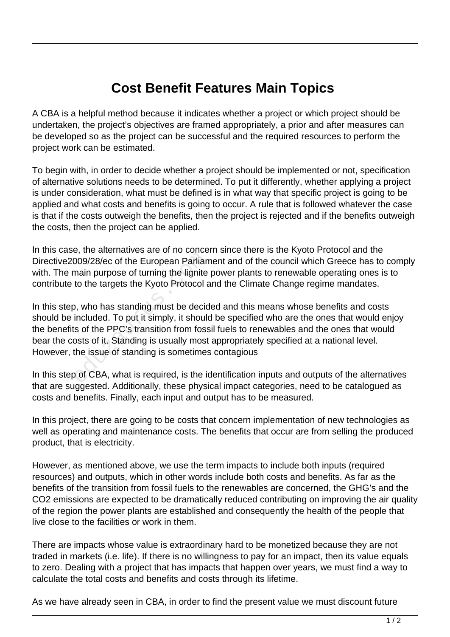## **Cost Benefit Features Main Topics**

A CBA is a helpful method because it indicates whether a project or which project should be undertaken, the project's objectives are framed appropriately, a prior and after measures can be developed so as the project can be successful and the required resources to perform the project work can be estimated.

To begin with, in order to decide whether a project should be implemented or not, specification of alternative solutions needs to be determined. To put it differently, whether applying a project is under consideration, what must be defined is in what way that specific project is going to be applied and what costs and benefits is going to occur. A rule that is followed whatever the case is that if the costs outweigh the benefits, then the project is rejected and if the benefits outweigh the costs, then the project can be applied.

In this case, the alternatives are of no concern since there is the Kyoto Protocol and the Directive2009/28/ec of the European Parliament and of the council which Greece has to comply with. The main purpose of turning the lignite power plants to renewable operating ones is to contribute to the targets the Kyoto Protocol and the Climate Change regime mandates.

In this step, who has standing must be decided and this means whose benefits and costs should be included. To put it simply, it should be specified who are the ones that would enjoy the benefits of the PPC's transition from fossil fuels to renewables and the ones that would bear the costs of it. Standing is usually most appropriately specified at a national level. However, the issue of standing is sometimes contagious Formation Parlian<br>
2009/28/ec of the European Parlian<br>
main purpose of turning the lignite<br>
to the targets the Kyoto Protocol a<br>
2, who has standing must be decide<br>
included. To put it simply, it shoulds<br>
so the PPC's tran

In this step of CBA, what is required, is the identification inputs and outputs of the alternatives that are suggested. Additionally, these physical impact categories, need to be catalogued as costs and benefits. Finally, each input and output has to be measured.

In this project, there are going to be costs that concern implementation of new technologies as well as operating and maintenance costs. The benefits that occur are from selling the produced product, that is electricity.

However, as mentioned above, we use the term impacts to include both inputs (required resources) and outputs, which in other words include both costs and benefits. As far as the benefits of the transition from fossil fuels to the renewables are concerned, the GHG's and the CO2 emissions are expected to be dramatically reduced contributing on improving the air quality of the region the power plants are established and consequently the health of the people that live close to the facilities or work in them.

There are impacts whose value is extraordinary hard to be monetized because they are not traded in markets (i.e. life). If there is no willingness to pay for an impact, then its value equals to zero. Dealing with a project that has impacts that happen over years, we must find a way to calculate the total costs and benefits and costs through its lifetime.

As we have already seen in CBA, in order to find the present value we must discount future